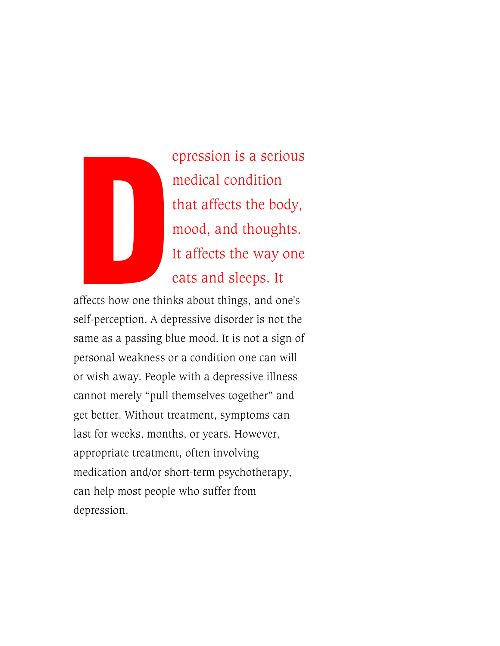

epression is a serious<br>
medical condition<br>
that affects the body,<br>
mood, and thoughts.<br>
It affects the way one<br>
eats and sleeps. It<br>
affects how one thinks about things, and one's<br>
self-perception. A depressive disorder is medical condition that affects the body, mood, and thoughts. It affects the way one eats and sleeps. It

affects how one thinks about things, and one's self-perception. A depressive disorder is not the same as a passing blue mood. It is not a sign of personal weakness or a condition one can will or wish away. People with a depressive illness cannot merely "pull themselves together" and get better. Without treatment, symptoms can last for weeks, months, or years. However, appropriate treatment, often involving medication and/or short-term psychotherapy, can help most people who suffer from depression.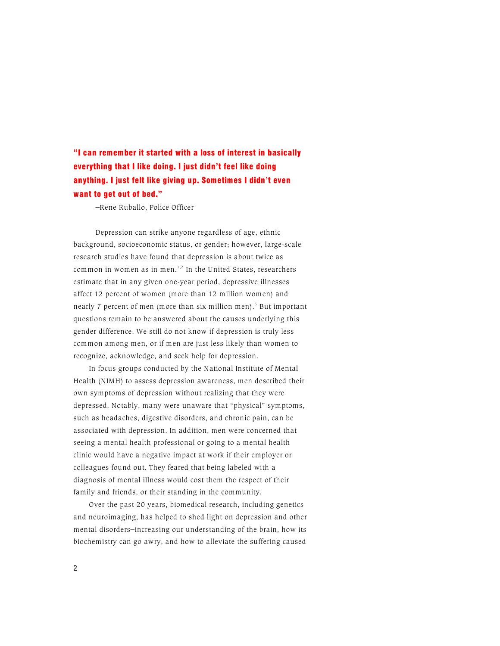"I can remember it started with a loss of interest in basically everything that I like doing. I just didn't feel like doing anything. I just felt like giving up. Sometimes I didn't even want to get out of bed."

-Rene Ruballo, Police Officer

 Depression can strike anyone regardless of age, ethnic background, socioeconomic status, or gender; however, large-scale research studies have found that depression is about twice as common in women as in men. $1,2$  In the United States, researchers estimate that in any given one-year period, depressive illnesses affect 12 percent of women (more than 12 million women) and nearly 7 percent of men (more than six million men).<sup>3</sup> But important questions remain to be answered about the causes underlying this gender difference. We still do not know if depression is truly less common among men, or if men are just less likely than women to recognize, acknowledge, and seek help for depression.

 In focus groups conducted by the National Institute of Mental Health (NIMH) to assess depression awareness, men described their own symptoms of depression without realizing that they were depressed. Notably, many were unaware that "physical" symptoms, such as headaches, digestive disorders, and chronic pain, can be associated with depression. In addition, men were concerned that seeing a mental health professional or going to a mental health clinic would have a negative impact at work if their employer or colleagues found out. They feared that being labeled with a diagnosis of mental illness would cost them the respect of their family and friends, or their standing in the community.

 Over the past 20 years, biomedical research, including genetics and neuroimaging, has helped to shed light on depression and other mental disorders-increasing our understanding of the brain, how its biochemistry can go awry, and how to alleviate the suffering caused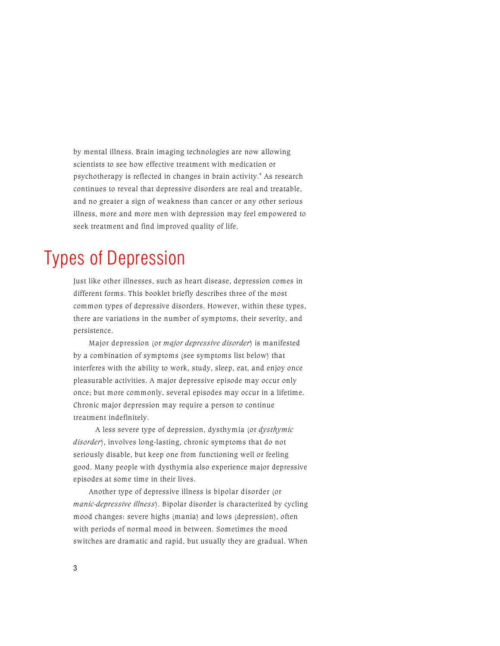by mental illness. Brain imaging technologies are now allowing scientists to see how effective treatment with medication or psychotherapy is reflected in changes in brain activity.<sup>4</sup> As research continues to reveal that depressive disorders are real and treatable, and no greater a sign of weakness than cancer or any other serious illness, more and more men with depression may feel empowered to seek treatment and find improved quality of life.

## Types of Depression

Just like other illnesses, such as heart disease, depression comes in different forms. This booklet briefly describes three of the most common types of depressive disorders. However, within these types, there are variations in the number of symptoms, their severity, and persistence.

 Major depression (or *major depressive disorder*) is manifested by a combination of symptoms (see symptoms list below) that interferes with the ability to work, study, sleep, eat, and enjoy once pleasurable activities. A major depressive episode may occur only once; but more commonly, several episodes may occur in a lifetime. Chronic major depression may require a person to continue treatment indefinitely.

A less severe type of depression, dysthymia (or *dysthymic disorder*), involves long-lasting, chronic symptoms that do not seriously disable, but keep one from functioning well or feeling good. Many people with dysthymia also experience major depressive episodes at some time in their lives.

 Another type of depressive illness is bipolar disorder (or *manic-depressive illness*). Bipolar disorder is characterized by cycling mood changes: severe highs (mania) and lows (depression), often with periods of normal mood in between. Sometimes the mood switches are dramatic and rapid, but usually they are gradual. When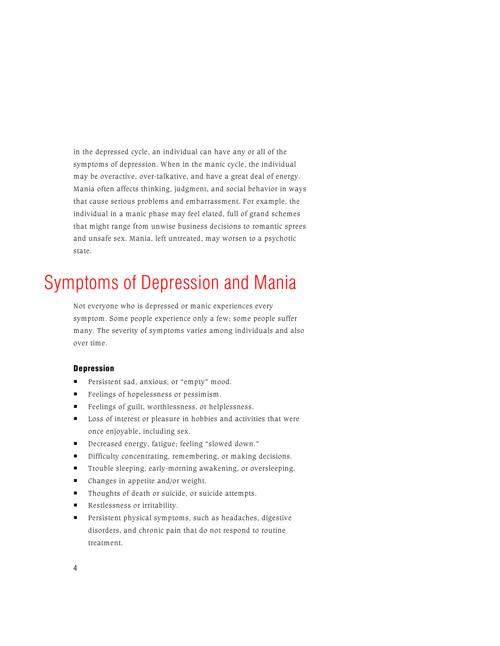in the depressed cycle, an individual can have any or all of the symptoms of depression. When in the manic cycle, the individual may be overactive, over-talkative, and have a great deal of energy. Mania often affects thinking, judgment, and social behavior in ways that cause serious problems and embarrassment. For example, the individual in a manic phase may feel elated, full of grand schemes that might range from unwise business decisions to romantic sprees and unsafe sex. Mania, left untreated, may worsen to a psychotic state.

# Symptoms of Depression and Mania

Not everyone who is depressed or manic experiences every symptom. Some people experience only a few; some people suffer many. The severity of symptoms varies among individuals and also over time.

#### **Depression**

- Persistent sad, anxious, or "empty" mood.
- **PERICAL FEELINGS** of hopelessness or pessimism.
- Feelings of guilt, worthlessness, or helplessness.
- Loss of interest or pleasure in hobbies and activities that were once enjoyable, including sex.
- P Decreased energy, fatigue; feeling "slowed down."
- **P** Difficulty concentrating, remembering, or making decisions.
- P Trouble sleeping, early-morning awakening, or oversleeping.
- Changes in appetite and/or weight.
- **P** Thoughts of death or suicide, or suicide attempts.
- **Restlessness or irritability.**
- **Persistent physical symptoms, such as headaches, digestive** disorders, and chronic pain that do not respond to routine treatment.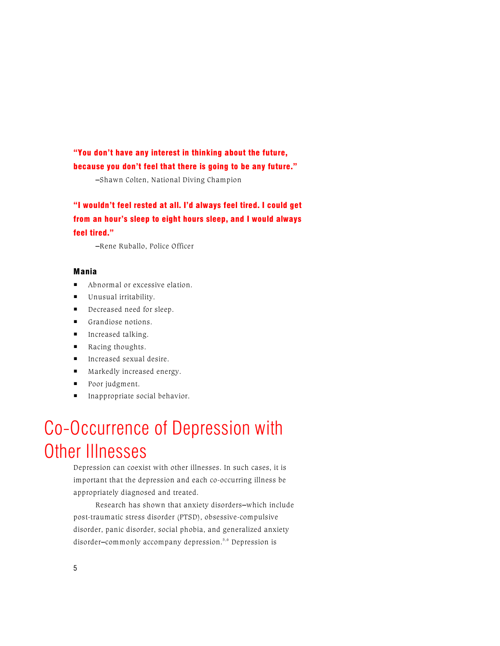"You don't have any interest in thinking about the future, because you don't feel that there is going to be any future."

-Shawn Colten, National Diving Champion

"I wouldn't feel rested at all. I'd always feel tired. I could get from an hour's sleep to eight hours sleep, and I would always feel tired."

-Rene Ruballo, Police Officer

### Mania

- Abnormal or excessive elation.
- **Unusual irritability.**
- **P** Decreased need for sleep.
- **F** Grandiose notions.
- **n** Increased talking.
- Racing thoughts.
- **n** Increased sexual desire.
- $\blacksquare$  Markedly increased energy.
- **Poor judgment.**
- P Inappropriate social behavior.

# Co-Occurrence of Depression with Other Illnesses

Depression can coexist with other illnesses. In such cases, it is important that the depression and each co-occurring illness be appropriately diagnosed and treated.

Research has shown that anxiety disorders-which include post-traumatic stress disorder (PTSD), obsessive-compulsive disorder, panic disorder, social phobia, and generalized anxiety disorder-commonly accompany depression.<sup>5,6</sup> Depression is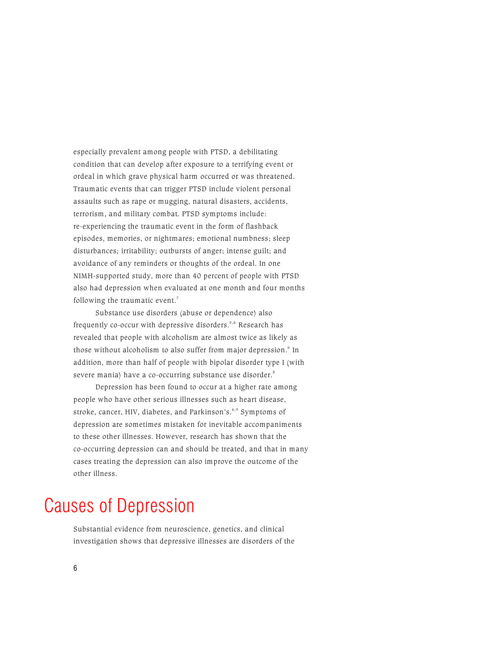especially prevalent among people with PTSD, a debilitating condition that can develop after exposure to a terrifying event or ordeal in which grave physical harm occurred or was threatened. Traumatic events that can trigger PTSD include violent personal assaults such as rape or mugging, natural disasters, accidents, terrorism, and military combat. PTSD symptoms include: re-experiencing the traumatic event in the form of flashback episodes, memories, or nightmares; emotional numbness; sleep disturbances; irritability; outbursts of anger; intense guilt; and avoidance of any reminders or thoughts of the ordeal. In one NIMH-supported study, more than 40 percent of people with PTSD also had depression when evaluated at one month and four months following the traumatic event. $^7$ 

Substance use disorders (abuse or dependence) also frequently co-occur with depressive disorders.<sup>5,6</sup> Research has revealed that people with alcoholism are almost twice as likely as those without alcoholism to also suffer from major depression.<sup>6</sup> In addition, more than half of people with bipolar disorder type I (with severe mania) have a co-occurring substance use disorder.<sup>8</sup>

Depression has been found to occur at a higher rate among people who have other serious illnesses such as heart disease, stroke, cancer, HIV, diabetes, and Parkinson's. 6,9 Symptoms of depression are sometimes mistaken for inevitable accompaniments to these other illnesses. However, research has shown that the co-occurring depression can and should be treated, and that in many cases treating the depression can also improve the outcome of the other illness.

## Causes of Depression

Substantial evidence from neuroscience, genetics, and clinical investigation shows that depressive illnesses are disorders of the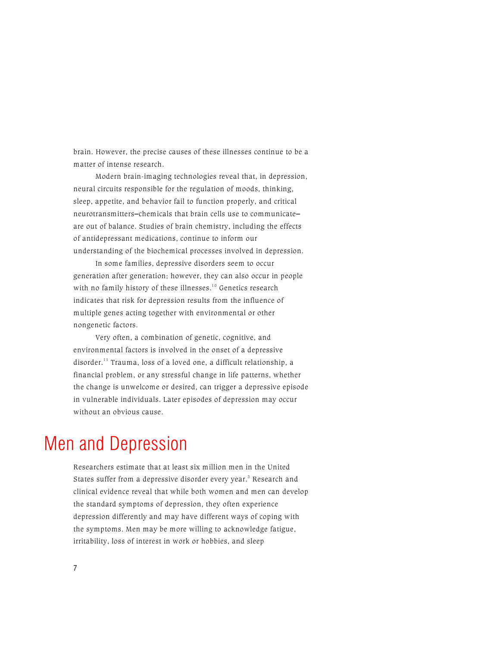brain. However, the precise causes of these illnesses continue to be a matter of intense research.

Modern brain-imaging technologies reveal that, in depression, neural circuits responsible for the regulation of moods, thinking, sleep, appetite, and behavior fail to function properly, and critical neurotransmitters-chemicals that brain cells use to communicateare out of balance. Studies of brain chemistry, including the effects of antidepressant medications, continue to inform our understanding of the biochemical processes involved in depression.

In some families, depressive disorders seem to occur generation after generation; however, they can also occur in people with no family history of these illnesses.<sup>10</sup> Genetics research indicates that risk for depression results from the influence of multiple genes acting together with environmental or other nongenetic factors.

Very often, a combination of genetic, cognitive, and environmental factors is involved in the onset of a depressive disorder.<sup>11</sup> Trauma, loss of a loved one, a difficult relationship, a financial problem, or any stressful change in life patterns, whether the change is unwelcome or desired, can trigger a depressive episode in vulnerable individuals. Later episodes of depression may occur without an obvious cause.

### Men and Depression

Researchers estimate that at least six million men in the United States suffer from a depressive disorder every year.<sup>3</sup> Research and clinical evidence reveal that while both women and men can develop the standard symptoms of depression, they often experience depression differently and may have different ways of coping with the symptoms. Men may be more willing to acknowledge fatigue, irritability, loss of interest in work or hobbies, and sleep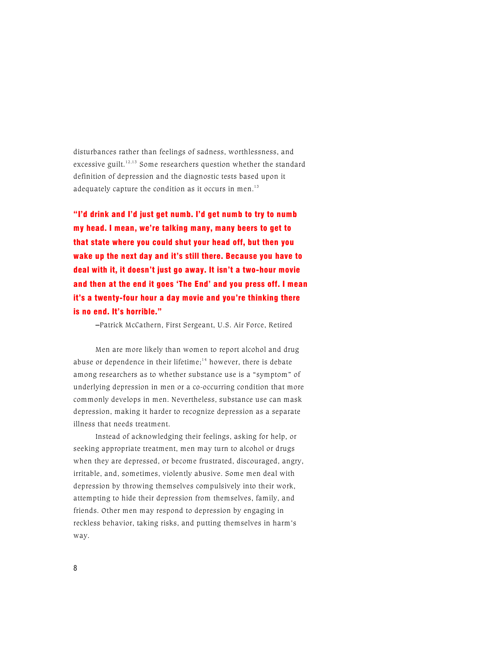disturbances rather than feelings of sadness, worthlessness, and excessive guilt.<sup>12,13</sup> Some researchers question whether the standard definition of depression and the diagnostic tests based upon it adequately capture the condition as it occurs in men.<sup>13</sup>

"I'd drink and I'd just get numb. I'd get numb to try to numb my head. I mean, we're talking many, many beers to get to that state where you could shut your head off, but then you wake up the next day and it's still there. Because you have to deal with it, it doesn't just go away. It isn't a two-hour movie and then at the end it goes 'The End' and you press off. I mean it's a twenty-four hour a day movie and you're thinking there is no end. It's horrible."

-Patrick McCathern, First Sergeant, U.S. Air Force, Retired

 Men are more likely than women to report alcohol and drug abuse or dependence in their lifetime; $14$  however, there is debate among researchers as to whether substance use is a "symptom" of underlying depression in men or a co-occurring condition that more commonly develops in men. Nevertheless, substance use can mask depression, making it harder to recognize depression as a separate illness that needs treatment.

Instead of acknowledging their feelings, asking for help, or seeking appropriate treatment, men may turn to alcohol or drugs when they are depressed, or become frustrated, discouraged, angry, irritable, and, sometimes, violently abusive. Some men deal with depression by throwing themselves compulsively into their work, attempting to hide their depression from themselves, family, and friends. Other men may respond to depression by engaging in reckless behavior, taking risks, and putting themselves in harm's way.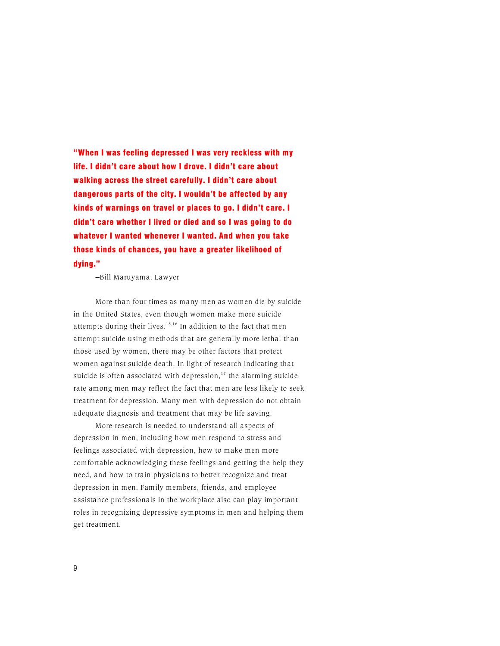"When I was feeling depressed I was very reckless with my life. I didn't care about how I drove. I didn't care about walking across the street carefully. I didn't care about dangerous parts of the city. I wouldn't be affected by any kinds of warnings on travel or places to go. I didn't care. I didn't care whether I lived or died and so I was going to do whatever I wanted whenever I wanted. And when you take those kinds of chances, you have a greater likelihood of dying."

-Bill Maruyama, Lawyer

 More than four times as many men as women die by suicide in the United States, even though women make more suicide attempts during their lives.  $15,16$  In addition to the fact that men attempt suicide using methods that are generally more lethal than those used by women, there may be other factors that protect women against suicide death. In light of research indicating that suicide is often associated with depression,<sup>17</sup> the alarming suicide rate among men may reflect the fact that men are less likely to seek treatment for depression. Many men with depression do not obtain adequate diagnosis and treatment that may be life saving.

More research is needed to understand all aspects of depression in men, including how men respond to stress and feelings associated with depression, how to make men more comfortable acknowledging these feelings and getting the help they need, and how to train physicians to better recognize and treat depression in men. Family members, friends, and employee assistance professionals in the workplace also can play important roles in recognizing depressive symptoms in men and helping them get treatment.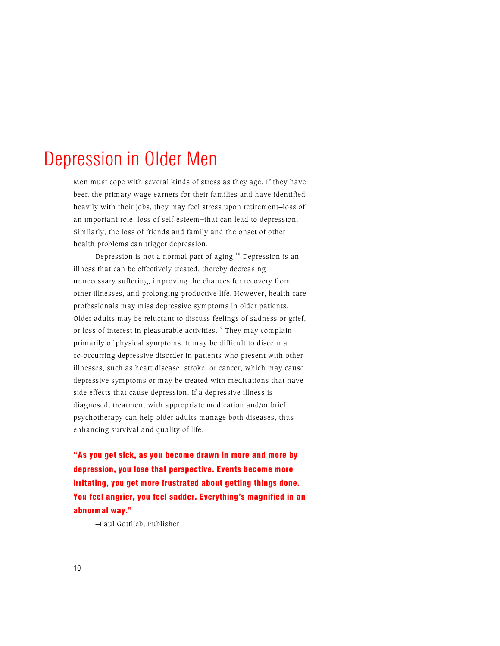## Depression in Older Men

Men must cope with several kinds of stress as they age. If they have been the primary wage earners for their families and have identified heavily with their jobs, they may feel stress upon retirement-loss of an important role, loss of self-esteem-that can lead to depression. Similarly, the loss of friends and family and the onset of other health problems can trigger depression.

Depression is not a normal part of aging.<sup>18</sup> Depression is an illness that can be effectively treated, thereby decreasing unnecessary suffering, improving the chances for recovery from other illnesses, and prolonging productive life. However, health care professionals may miss depressive symptoms in older patients. Older adults may be reluctant to discuss feelings of sadness or grief, or loss of interest in pleasurable activities.<sup>19</sup> They may complain primarily of physical symptoms. It may be difficult to discern a co-occurring depressive disorder in patients who present with other illnesses, such as heart disease, stroke, or cancer, which may cause depressive symptoms or may be treated with medications that have side effects that cause depression. If a depressive illness is diagnosed, treatment with appropriate medication and/or brief psychotherapy can help older adults manage both diseases, thus enhancing survival and quality of life.

"As you get sick, as you become drawn in more and more by depression, you lose that perspective. Events become more irritating, you get more frustrated about getting things done. You feel angrier, you feel sadder. Everything's magnified in an abnormal way."

-Paul Gottlieb, Publisher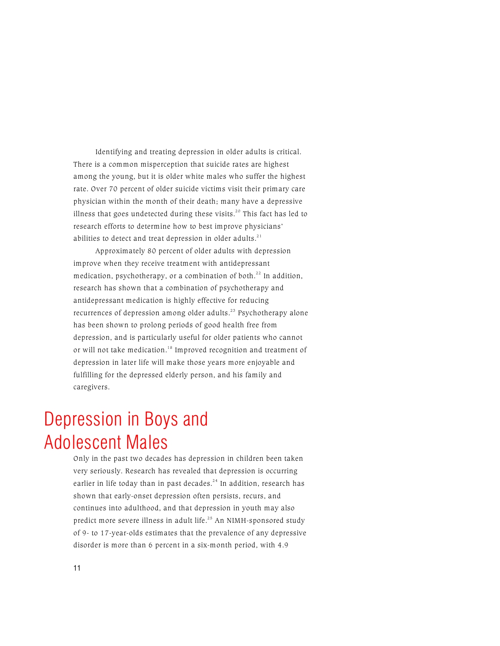Identifying and treating depression in older adults is critical. There is a common misperception that suicide rates are highest among the young, but it is older white males who suffer the highest rate. Over 70 percent of older suicide victims visit their primary care physician within the month of their death; many have a depressive illness that goes undetected during these visits.<sup>20</sup> This fact has led to research efforts to determine how to best improve physicians' abilities to detect and treat depression in older adults. $21$ 

Approximately 80 percent of older adults with depression improve when they receive treatment with antidepressant medication, psychotherapy, or a combination of both.<sup>22</sup> In addition, research has shown that a combination of psychotherapy and antidepressant medication is highly effective for reducing recurrences of depression among older adults.<sup>23</sup> Psychotherapy alone has been shown to prolong periods of good health free from depression, and is particularly useful for older patients who cannot or will not take medication.<sup>18</sup> Improved recognition and treatment of depression in later life will make those years more enjoyable and fulfilling for the depressed elderly person, and his family and caregivers.

# Depression in Boys and Adolescent Males

Only in the past two decades has depression in children been taken very seriously. Research has revealed that depression is occurring earlier in life today than in past decades. $24$  In addition, research has shown that early-onset depression often persists, recurs, and continues into adulthood, and that depression in youth may also predict more severe illness in adult life.<sup>25</sup> An NIMH-sponsored study of 9- to 17-year-olds estimates that the prevalence of any depressive disorder is more than 6 percent in a six-month period, with 4.9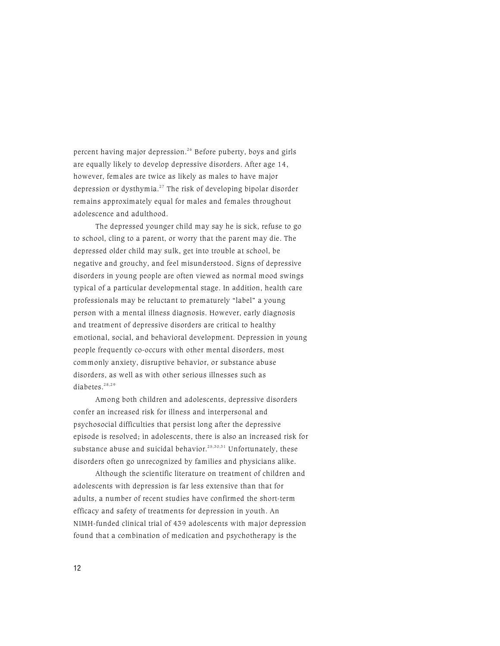percent having major depression.<sup>26</sup> Before puberty, boys and girls are equally likely to develop depressive disorders. After age 14, however, females are twice as likely as males to have major depression or dysthymia. $27$  The risk of developing bipolar disorder remains approximately equal for males and females throughout adolescence and adulthood.

The depressed younger child may say he is sick, refuse to go to school, cling to a parent, or worry that the parent may die. The depressed older child may sulk, get into trouble at school, be negative and grouchy, and feel misunderstood. Signs of depressive disorders in young people are often viewed as normal mood swings typical of a particular developmental stage. In addition, health care professionals may be reluctant to prematurely "label" a young person with a mental illness diagnosis. However, early diagnosis and treatment of depressive disorders are critical to healthy emotional, social, and behavioral development. Depression in young people frequently co-occurs with other mental disorders, most commonly anxiety, disruptive behavior, or substance abuse disorders, as well as with other serious illnesses such as diabetes.28,29

 Among both children and adolescents, depressive disorders confer an increased risk for illness and interpersonal and psychosocial difficulties that persist long after the depressive episode is resolved; in adolescents, there is also an increased risk for substance abuse and suicidal behavior.<sup>25,30,31</sup> Unfortunately, these disorders often go unrecognized by families and physicians alike.

Although the scientific literature on treatment of children and adolescents with depression is far less extensive than that for adults, a number of recent studies have confirmed the short-term efficacy and safety of treatments for depression in youth. An NIMH-funded clinical trial of 439 adolescents with major depression found that a combination of medication and psychotherapy is the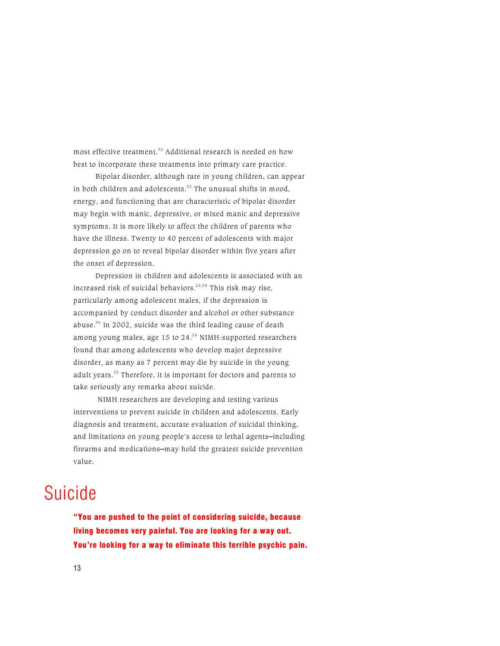most effective treatment.<sup>32</sup> Additional research is needed on how best to incorporate these treatments into primary care practice.

Bipolar disorder, although rare in young children, can appear in both children and adolescents. $33$  The unusual shifts in mood, energy, and functioning that are characteristic of bipolar disorder may begin with manic, depressive, or mixed manic and depressive symptoms. It is more likely to affect the children of parents who have the illness. Twenty to 40 percent of adolescents with major depression go on to reveal bipolar disorder within five years after the onset of depression.

Depression in children and adolescents is associated with an increased risk of suicidal behaviors. $25,34$  This risk may rise, particularly among adolescent males, if the depression is accompanied by conduct disorder and alcohol or other substance abuse.<sup>35</sup> In 2002, suicide was the third leading cause of death among young males, age 15 to  $24.^{36}$  NIMH-supported researchers found that among adolescents who develop major depressive disorder, as many as 7 percent may die by suicide in the young adult years. $25$  Therefore, it is important for doctors and parents to take seriously any remarks about suicide.

 NIMH researchers are developing and testing various interventions to prevent suicide in children and adolescents. Early diagnosis and treatment, accurate evaluation of suicidal thinking, and limitations on young people's access to lethal agents-including firearms and medications-may hold the greatest suicide prevention value.

## Suicide

"You are pushed to the point of considering suicide, because living becomes very painful. You are looking for a way out. You're looking for a way to eliminate this terrible psychic pain.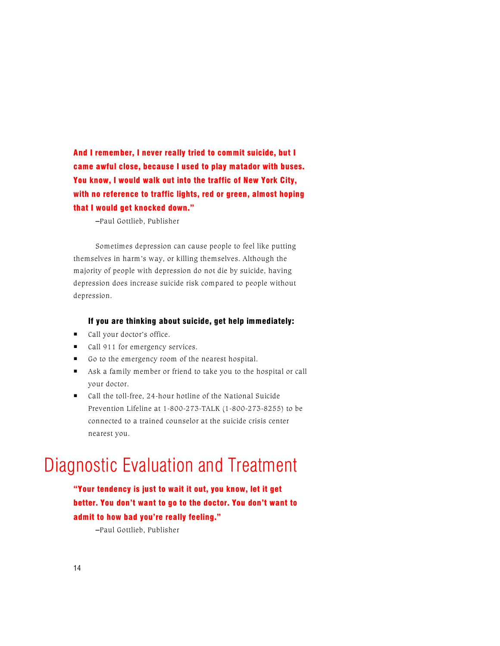And I remember, I never really tried to commit suicide, but I came awful close, because I used to play matador with buses. You know, I would walk out into the traffic of New York City, with no reference to traffic lights, red or green, almost hoping that I would get knocked down."

-Paul Gottlieb, Publisher

 Sometimes depression can cause people to feel like putting themselves in harm's way, or killing themselves. Although the majority of people with depression do not die by suicide, having depression does increase suicide risk compared to people without depression.

### If you are thinking about suicide, get help immediately:

- Call your doctor's office.
- call 911 for emergency services.
- P Go to the emergency room of the nearest hospital.
- P Ask a family member or friend to take you to the hospital or call your doctor.
- Call the toll-free, 24-hour hotline of the National Suicide Prevention Lifeline at 1-800-273-TALK (1-800-273-8255) to be connected to a trained counselor at the suicide crisis center nearest you.

## Diagnostic Evaluation and Treatment

### "Your tendency is just to wait it out, you know, let it get better. You don't want to go to the doctor. You don't want to admit to how bad you're really feeling."

-Paul Gottlieb, Publisher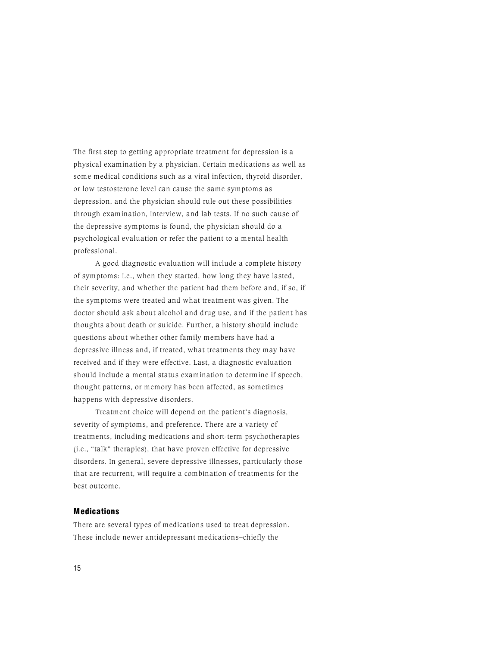The first step to getting appropriate treatment for depression is a physical examination by a physician. Certain medications as well as some medical conditions such as a viral infection, thyroid disorder, or low testosterone level can cause the same symptoms as depression, and the physician should rule out these possibilities through examination, interview, and lab tests. If no such cause of the depressive symptoms is found, the physician should do a psychological evaluation or refer the patient to a mental health professional.

A good diagnostic evaluation will include a complete history of symptoms: i.e., when they started, how long they have lasted, their severity, and whether the patient had them before and, if so, if the symptoms were treated and what treatment was given. The doctor should ask about alcohol and drug use, and if the patient has thoughts about death or suicide. Further, a history should include questions about whether other family members have had a depressive illness and, if treated, what treatments they may have received and if they were effective. Last, a diagnostic evaluation should include a mental status examination to determine if speech, thought patterns, or memory has been affected, as sometimes happens with depressive disorders.

Treatment choice will depend on the patient's diagnosis, severity of symptoms, and preference. There are a variety of treatments, including medications and short-term psychotherapies (i.e., "talk" therapies), that have proven effective for depressive disorders. In general, severe depressive illnesses, particularly those that are recurrent, will require a combination of treatments for the best outcome.

### **Medications**

There are several types of medications used to treat depression. These include newer antidepressant medications–chiefly the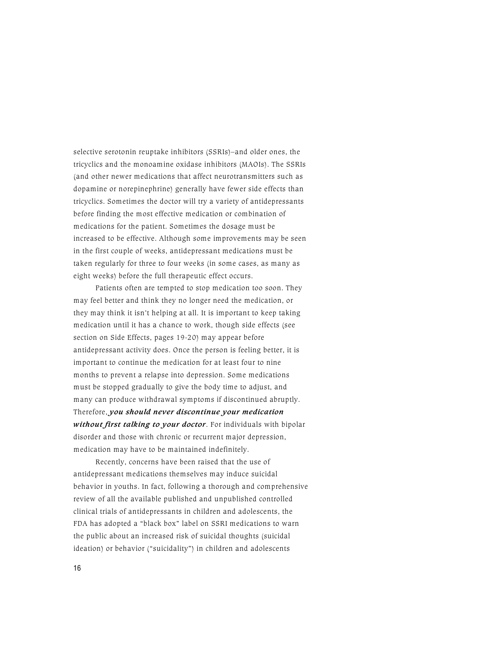selective serotonin reuptake inhibitors (SSRIs)–and older ones, the tricyclics and the monoamine oxidase inhibitors (MAOIs). The SSRIs (and other newer medications that affect neurotransmitters such as dopamine or norepinephrine) generally have fewer side effects than tricyclics. Sometimes the doctor will try a variety of antidepressants before finding the most effective medication or combination of medications for the patient. Sometimes the dosage must be increased to be effective. Although some improvements may be seen in the first couple of weeks, antidepressant medications must be taken regularly for three to four weeks (in some cases, as many as eight weeks) before the full therapeutic effect occurs.

Patients often are tempted to stop medication too soon. They may feel better and think they no longer need the medication, or they may think it isn't helping at all. It is important to keep taking medication until it has a chance to work, though side effects (see section on Side Effects, pages 19-20) may appear before antidepressant activity does. Once the person is feeling better, it is important to continue the medication for at least four to nine months to prevent a relapse into depression. Some medications must be stopped gradually to give the body time to adjust, and many can produce withdrawal symptoms if discontinued abruptly. Therefore, *you should never discontinue your medication without first talking to your doctor*. For individuals with bipolar disorder and those with chronic or recurrent major depression, medication may have to be maintained indefinitely.

Recently, concerns have been raised that the use of antidepressant medications themselves may induce suicidal behavior in youths. In fact, following a thorough and comprehensive review of all the available published and unpublished controlled clinical trials of antidepressants in children and adolescents, the FDA has adopted a "black box" label on SSRI medications to warn the public about an increased risk of suicidal thoughts (suicidal ideation) or behavior ("suicidality") in children and adolescents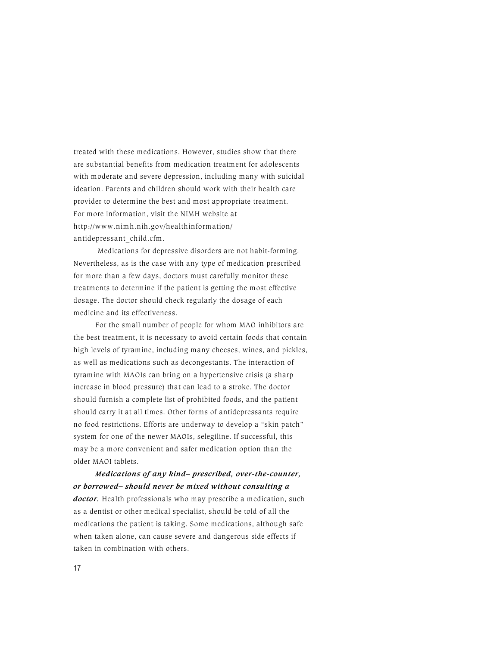treated with these medications. However, studies show that there are substantial benefits from medication treatment for adolescents with moderate and severe depression, including many with suicidal ideation. Parents and children should work with their health care provider to determine the best and most appropriate treatment. For more information, visit the NIMH website at <http://www.nimh.nih.gov/healthinformation/> antidepressant\_child.cfm.

 Medications for depressive disorders are not habit-forming. Nevertheless, as is the case with any type of medication prescribed for more than a few days, doctors must carefully monitor these treatments to determine if the patient is getting the most effective dosage. The doctor should check regularly the dosage of each medicine and its effectiveness.

For the small number of people for whom MAO inhibitors are the best treatment, it is necessary to avoid certain foods that contain high levels of tyramine, including many cheeses, wines, and pickles, as well as medications such as decongestants. The interaction of tyramine with MAOIs can bring on a hypertensive crisis (a sharp increase in blood pressure) that can lead to a stroke. The doctor should furnish a complete list of prohibited foods, and the patient should carry it at all times. Other forms of antidepressants require no food restrictions. Efforts are underway to develop a "skin patch" system for one of the newer MAOIs, selegiline. If successful, this may be a more convenient and safer medication option than the older MAOI tablets.

### *Medications of any kind-prescribed, over-the-counter, or borrowedS should never be mixed without consulting a doctor.* Health professionals who may prescribe a medication, such as a dentist or other medical specialist, should be told of all the medications the patient is taking. Some medications, although safe when taken alone, can cause severe and dangerous side effects if

taken in combination with others.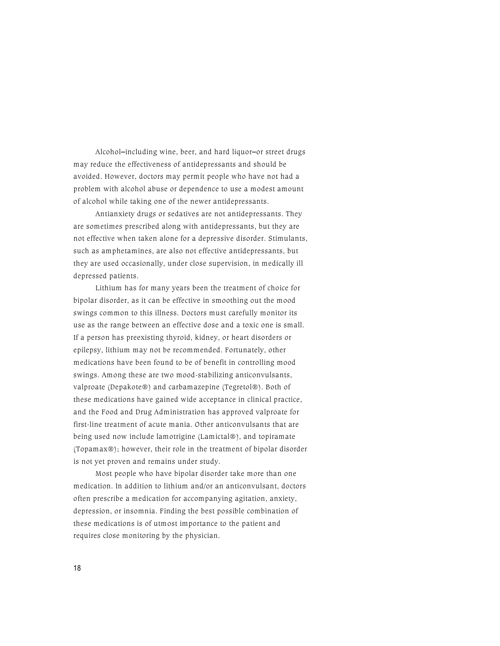Alcohol-including wine, beer, and hard liquor-or street drugs may reduce the effectiveness of antidepressants and should be avoided. However, doctors may permit people who have not had a problem with alcohol abuse or dependence to use a modest amount of alcohol while taking one of the newer antidepressants.

 Antianxiety drugs or sedatives are not antidepressants. They are sometimes prescribed along with antidepressants, but they are not effective when taken alone for a depressive disorder. Stimulants, such as amphetamines, are also not effective antidepressants, but they are used occasionally, under close supervision, in medically ill depressed patients.

Lithium has for many years been the treatment of choice for bipolar disorder, as it can be effective in smoothing out the mood swings common to this illness. Doctors must carefully monitor its use as the range between an effective dose and a toxic one is small. If a person has preexisting thyroid, kidney, or heart disorders or epilepsy, lithium may not be recommended. Fortunately, other medications have been found to be of benefit in controlling mood swings. Among these are two mood-stabilizing anticonvulsants, valproate (Depakote®) and carbamazepine (Tegretol®). Both of these medications have gained wide acceptance in clinical practice, and the Food and Drug Administration has approved valproate for first-line treatment of acute mania. Other anticonvulsants that are being used now include lamotrigine (Lamictal®), and topiramate (Topamax®); however, their role in the treatment of bipolar disorder is not yet proven and remains under study.

Most people who have bipolar disorder take more than one medication. In addition to lithium and/or an anticonvulsant, doctors often prescribe a medication for accompanying agitation, anxiety, depression, or insomnia. Finding the best possible combination of these medications is of utmost importance to the patient and requires close monitoring by the physician.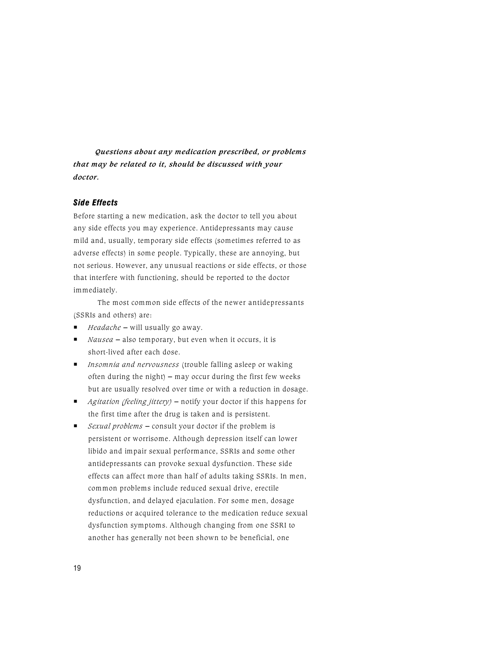*Questions about any medication prescribed, or problems that may be related to it, should be discussed with your doctor.*

### *Side Effects*

Before starting a new medication, ask the doctor to tell you about any side effects you may experience. Antidepressants may cause mild and, usually, temporary side effects (sometimes referred to as adverse effects) in some people. Typically, these are annoying, but not serious. However, any unusual reactions or side effects, or those that interfere with functioning, should be reported to the doctor immediately.

The most common side effects of the newer antidepressants (SSRIs and others) are:

- *Headache* will usually go away.
- **P** *Nausea* also temporary, but even when it occurs, it is short-lived after each dose.
- P *Insomnia and nervousness* (trouble falling asleep or waking often during the night)  $-$  may occur during the first few weeks but are usually resolved over time or with a reduction in dosage.
- **P** *Agitation (feeling jittery)* notify your doctor if this happens for the first time after the drug is taken and is persistent.
- *Sexual problems* consult your doctor if the problem is persistent or worrisome. Although depression itself can lower libido and impair sexual performance, SSRIs and some other antidepressants can provoke sexual dysfunction. These side effects can affect more than half of adults taking SSRIs. In men, common problems include reduced sexual drive, erectile dysfunction, and delayed ejaculation. For some men, dosage reductions or acquired tolerance to the medication reduce sexual dysfunction symptoms. Although changing from one SSRI to another has generally not been shown to be beneficial, one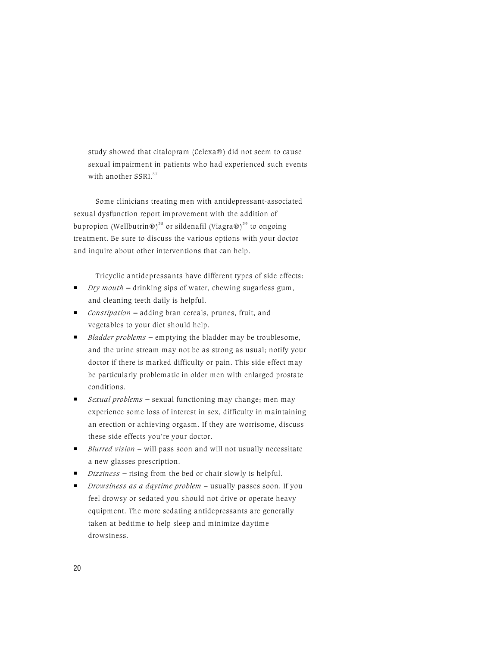study showed that citalopram (Celexa®) did not seem to cause sexual impairment in patients who had experienced such events with another SSRI.<sup>37</sup>

Some clinicians treating men with antidepressant-associated sexual dysfunction report improvement with the addition of bupropion (Wellbutrin®)<sup>38</sup> or sildenafil (Viagra®)<sup>39</sup> to ongoing treatment. Be sure to discuss the various options with your doctor and inquire about other interventions that can help.

Tricyclic antidepressants have different types of side effects:

- **P** *Dry mouth* drinking sips of water, chewing sugarless gum, and cleaning teeth daily is helpful.
- **P** *Constipation* adding bran cereals, prunes, fruit, and vegetables to your diet should help.
- **Bladder problems emptying the bladder may be troublesome,** and the urine stream may not be as strong as usual; notify your doctor if there is marked difficulty or pain. This side effect may be particularly problematic in older men with enlarged prostate conditions.
- **P** *Sexual problems* sexual functioning may change; men may experience some loss of interest in sex, difficulty in maintaining an erection or achieving orgasm. If they are worrisome, discuss these side effects you're your doctor.
- *Blurred vision* will pass soon and will not usually necessitate a new glasses prescription.
- **P** *Dizziness* rising from the bed or chair slowly is helpful.
- **P** *Drowsiness as a daytime problem* usually passes soon. If you feel drowsy or sedated you should not drive or operate heavy equipment. The more sedating antidepressants are generally taken at bedtime to help sleep and minimize daytime drowsiness.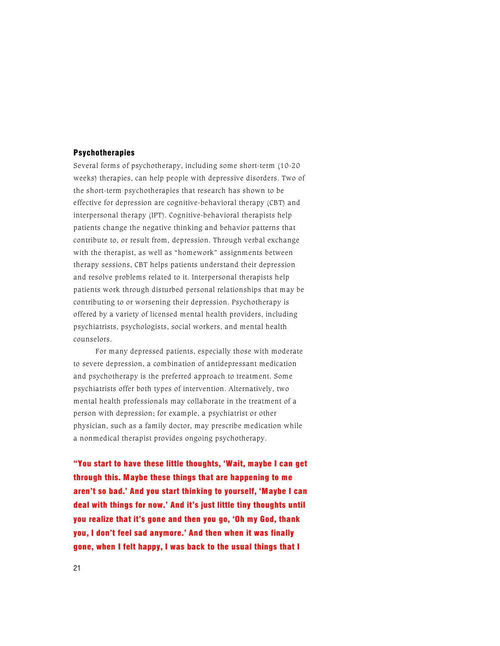### Psychotherapies

Several forms of psychotherapy, including some short-term (10-20 weeks) therapies, can help people with depressive disorders. Two of the short-term psychotherapies that research has shown to be effective for depression are cognitive-behavioral therapy (CBT) and interpersonal therapy (IPT). Cognitive-behavioral therapists help patients change the negative thinking and behavior patterns that contribute to, or result from, depression. Through verbal exchange with the therapist, as well as "homework" assignments between therapy sessions, CBT helps patients understand their depression and resolve problems related to it. Interpersonal therapists help patients work through disturbed personal relationships that may be contributing to or worsening their depression. Psychotherapy is offered by a variety of licensed mental health providers, including psychiatrists, psychologists, social workers, and mental health counselors.

For many depressed patients, especially those with moderate to severe depression, a combination of antidepressant medication and psychotherapy is the preferred approach to treatment. Some psychiatrists offer both types of intervention. Alternatively, two mental health professionals may collaborate in the treatment of a person with depression; for example, a psychiatrist or other physician, such as a family doctor, may prescribe medication while a nonmedical therapist provides ongoing psychotherapy.

"You start to have these little thoughts, 'Wait, maybe I can get through this. Maybe these things that are happening to me aren't so bad.' And you start thinking to yourself, 'Maybe I can deal with things for now.' And it's just little tiny thoughts until you realize that it's gone and then you go, 'Oh my God, thank you, I don't feel sad anymore.' And then when it was finally gone, when I felt happy, I was back to the usual things that I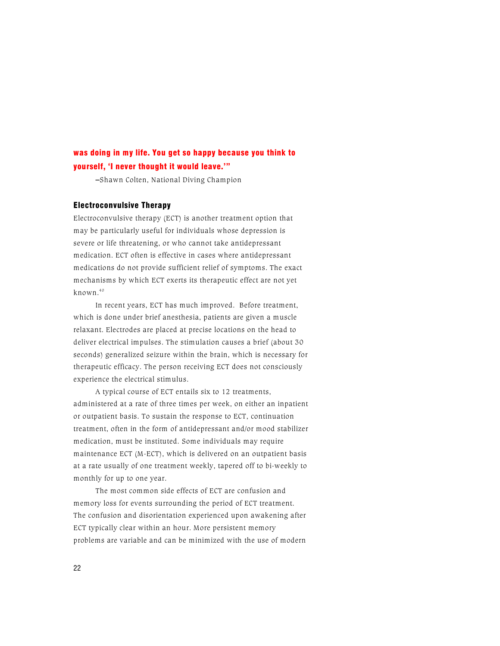### was doing in my life. You get so happy because you think to yourself, 'I never thought it would leave.'"

-Shawn Colten, National Diving Champion

### Electroconvulsive Therapy

Electroconvulsive therapy (ECT) is another treatment option that may be particularly useful for individuals whose depression is severe or life threatening, or who cannot take antidepressant medication. ECT often is effective in cases where antidepressant medications do not provide sufficient relief of symptoms. The exact mechanisms by which ECT exerts its therapeutic effect are not yet  $k$ nown<sup>40</sup>

In recent years, ECT has much improved. Before treatment, which is done under brief anesthesia, patients are given a muscle relaxant. Electrodes are placed at precise locations on the head to deliver electrical impulses. The stimulation causes a brief (about 30 seconds) generalized seizure within the brain, which is necessary for therapeutic efficacy. The person receiving ECT does not consciously experience the electrical stimulus.

A typical course of ECT entails six to 12 treatments, administered at a rate of three times per week, on either an inpatient or outpatient basis. To sustain the response to ECT, continuation treatment, often in the form of antidepressant and/or mood stabilizer medication, must be instituted. Some individuals may require maintenance ECT (M-ECT), which is delivered on an outpatient basis at a rate usually of one treatment weekly, tapered off to bi-weekly to monthly for up to one year.

The most common side effects of ECT are confusion and memory loss for events surrounding the period of ECT treatment. The confusion and disorientation experienced upon awakening after ECT typically clear within an hour. More persistent memory problems are variable and can be minimized with the use of modern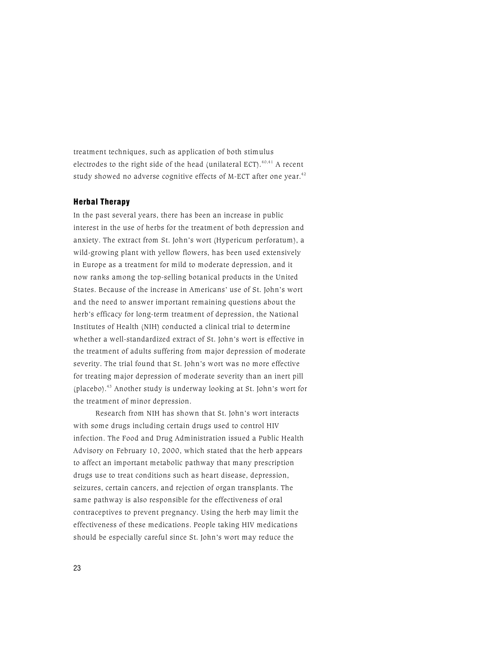treatment techniques, such as application of both stimulus electrodes to the right side of the head (unilateral ECT).  $40,41$  A recent study showed no adverse cognitive effects of M-ECT after one year.<sup>42</sup>

### Herbal Therapy

In the past several years, there has been an increase in public interest in the use of herbs for the treatment of both depression and anxiety. The extract from St. John's wort (Hypericum perforatum), a wild-growing plant with yellow flowers, has been used extensively in Europe as a treatment for mild to moderate depression, and it now ranks among the top-selling botanical products in the United States. Because of the increase in Americans' use of St. John's wort and the need to answer important remaining questions about the herb's efficacy for long-term treatment of depression, the National Institutes of Health (NIH) conducted a clinical trial to determine whether a well-standardized extract of St. John's wort is effective in the treatment of adults suffering from major depression of moderate severity. The trial found that St. John's wort was no more effective for treating major depression of moderate severity than an inert pill (placebo). $43$  Another study is underway looking at St. John's wort for the treatment of minor depression.

Research from NIH has shown that St. John's wort interacts with some drugs including certain drugs used to control HIV infection. The Food and Drug Administration issued a Public Health Advisory on February 10, 2000, which stated that the herb appears to affect an important metabolic pathway that many prescription drugs use to treat conditions such as heart disease, depression, seizures, certain cancers, and rejection of organ transplants. The same pathway is also responsible for the effectiveness of oral contraceptives to prevent pregnancy. Using the herb may limit the effectiveness of these medications. People taking HIV medications should be especially careful since St. John's wort may reduce the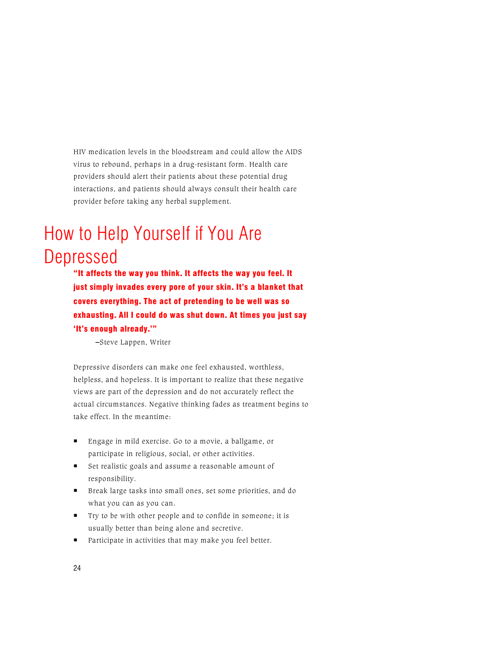HIV medication levels in the bloodstream and could allow the AIDS virus to rebound, perhaps in a drug-resistant form. Health care providers should alert their patients about these potential drug interactions, and patients should always consult their health care provider before taking any herbal supplement.

# How to Help Yourself if You Are Depressed

"It affects the way you think. It affects the way you feel. It just simply invades every pore of your skin. It's a blanket that covers everything. The act of pretending to be well was so exhausting. All I could do was shut down. At times you just say 'It's enough already.'"

-Steve Lappen, Writer

Depressive disorders can make one feel exhausted, worthless, helpless, and hopeless. It is important to realize that these negative views are part of the depression and do not accurately reflect the actual circumstances. Negative thinking fades as treatment begins to take effect. In the meantime:

- Engage in mild exercise. Go to a movie, a ballgame, or participate in religious, social, or other activities.
- **P** Set realistic goals and assume a reasonable amount of responsibility.
- P Break large tasks into small ones, set some priorities, and do what you can as you can.
- **Part Try to be with other people and to confide in someone; it is** usually better than being alone and secretive.
- $\blacksquare$  Participate in activities that may make you feel better.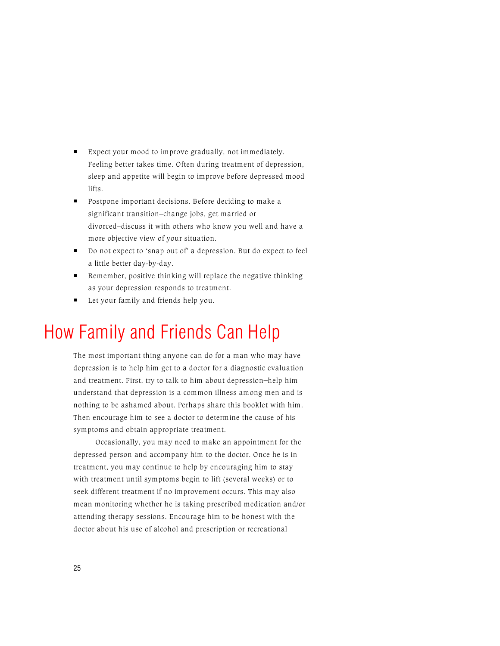- Expect your mood to improve gradually, not immediately. Feeling better takes time. Often during treatment of depression, sleep and appetite will begin to improve before depressed mood lifts.
- Postpone important decisions. Before deciding to make a significant transition–change jobs, get married or divorced–discuss it with others who know you well and have a more objective view of your situation.
- **P** Do not expect to 'snap out of' a depression. But do expect to feel a little better day-by-day.
- Remember, positive thinking will replace the negative thinking as your depression responds to treatment.
- Let your family and friends help you.

## How Family and Friends Can Help

The most important thing anyone can do for a man who may have depression is to help him get to a doctor for a diagnostic evaluation and treatment. First, try to talk to him about depression-help him understand that depression is a common illness among men and is nothing to be ashamed about. Perhaps share this booklet with him. Then encourage him to see a doctor to determine the cause of his symptoms and obtain appropriate treatment.

Occasionally, you may need to make an appointment for the depressed person and accompany him to the doctor. Once he is in treatment, you may continue to help by encouraging him to stay with treatment until symptoms begin to lift (several weeks) or to seek different treatment if no improvement occurs. This may also mean monitoring whether he is taking prescribed medication and/or attending therapy sessions. Encourage him to be honest with the doctor about his use of alcohol and prescription or recreational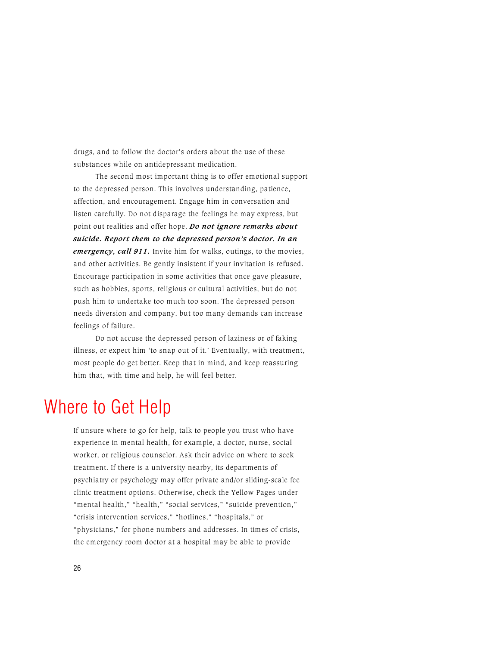drugs, and to follow the doctor's orders about the use of these substances while on antidepressant medication.

The second most important thing is to offer emotional support to the depressed person. This involves understanding, patience, affection, and encouragement. Engage him in conversation and listen carefully. Do not disparage the feelings he may express, but point out realities and offer hope. *Do not ignore remarks about suicide. Report them to the depressed person's doctor. In an emergency, call 911.* Invite him for walks, outings, to the movies, and other activities. Be gently insistent if your invitation is refused. Encourage participation in some activities that once gave pleasure, such as hobbies, sports, religious or cultural activities, but do not push him to undertake too much too soon. The depressed person needs diversion and company, but too many demands can increase feelings of failure.

Do not accuse the depressed person of laziness or of faking illness, or expect him 'to snap out of it.' Eventually, with treatment, most people do get better. Keep that in mind, and keep reassuring him that, with time and help, he will feel better.

## Where to Get Help

If unsure where to go for help, talk to people you trust who have experience in mental health, for example, a doctor, nurse, social worker, or religious counselor. Ask their advice on where to seek treatment. If there is a university nearby, its departments of psychiatry or psychology may offer private and/or sliding-scale fee clinic treatment options. Otherwise, check the Yellow Pages under "mental health," "health," "social services," "suicide prevention," "crisis intervention services," "hotlines," "hospitals," or "physicians," for phone numbers and addresses. In times of crisis, the emergency room doctor at a hospital may be able to provide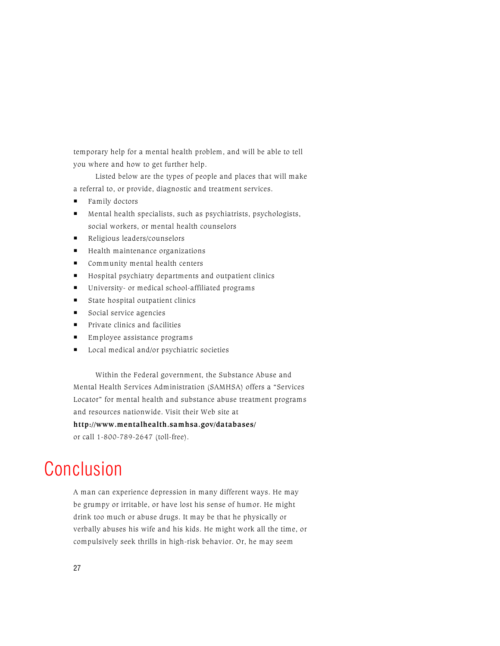temporary help for a mental health problem, and will be able to tell you where and how to get further help.

Listed below are the types of people and places that will make a referral to, or provide, diagnostic and treatment services.

- **Family doctors**
- P Mental health specialists, such as psychiatrists, psychologists, social workers, or mental health counselors
- P Religious leaders/counselors
- **P** Health maintenance organizations
- Community mental health centers
- P Hospital psychiatry departments and outpatient clinics
- P University- or medical school-affiliated programs
- State hospital outpatient clinics
- Social service agencies
- **Private clinics and facilities**
- **Employee assistance programs**
- Local medical and/or psychiatric societies

Within the Federal government, the Substance Abuse and Mental Health Services Administration (SAMHSA) offers a "Services Locator" for mental health and substance abuse treatment programs and resources nationwide. Visit their Web site at **http://www.mentalhealth.samhsa.gov/databases/** 

or call 1-800-789-2647 (toll-free).

## Conclusion

A man can experience depression in many different ways. He may be grumpy or irritable, or have lost his sense of humor. He might drink too much or abuse drugs. It may be that he physically or verbally abuses his wife and his kids. He might work all the time, or compulsively seek thrills in high-risk behavior. Or, he may seem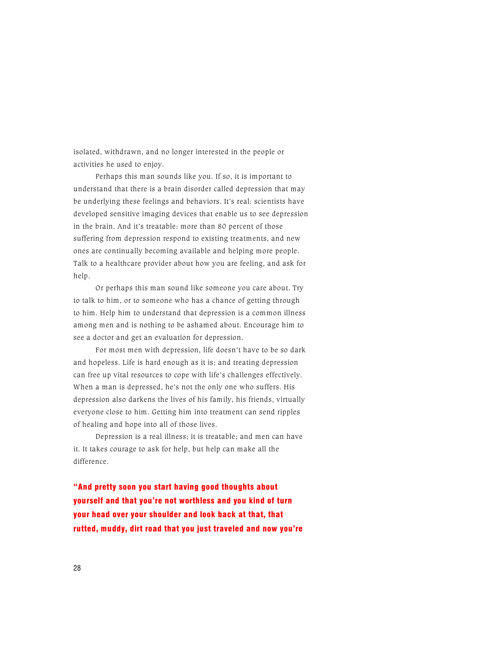isolated, withdrawn, and no longer interested in the people or activities he used to enjoy.

Perhaps this man sounds like you. If so, it is important to understand that there is a brain disorder called depression that may be underlying these feelings and behaviors. It's real: scientists have developed sensitive imaging devices that enable us to see depression in the brain. And it's treatable: more than 80 percent of those suffering from depression respond to existing treatments, and new ones are continually becoming available and helping more people. Talk to a healthcare provider about how you are feeling, and ask for help.

Or perhaps this man sound like someone you care about. Try to talk to him, or to someone who has a chance of getting through to him. Help him to understand that depression is a common illness among men and is nothing to be ashamed about. Encourage him to see a doctor and get an evaluation for depression.

For most men with depression, life doesn't have to be so dark and hopeless. Life is hard enough as it is; and treating depression can free up vital resources to cope with life's challenges effectively. When a man is depressed, he's not the only one who suffers. His depression also darkens the lives of his family, his friends, virtually everyone close to him. Getting him into treatment can send ripples of healing and hope into all of those lives.

Depression is a real illness; it is treatable; and men can have it. It takes courage to ask for help, but help can make all the difference.

"And pretty soon you start having good thoughts about yourself and that you're not worthless and you kind of turn your head over your shoulder and look back at that, that rutted, muddy, dirt road that you just traveled and now you're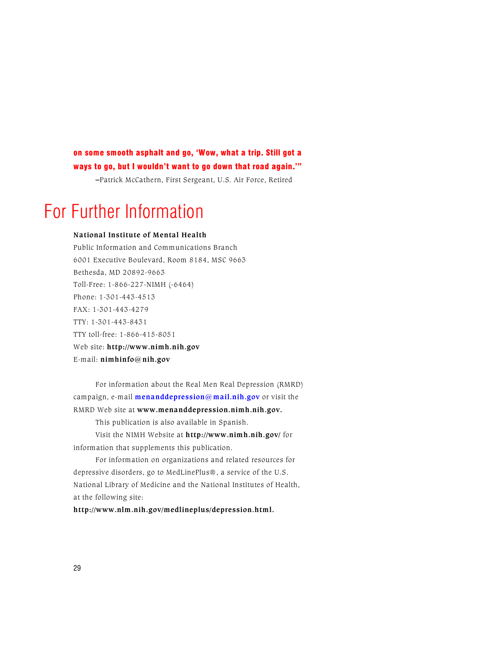on some smooth asphalt and go, 'Wow, what a trip. Still got a ways to go, but I wouldn't want to go down that road again.'"

-Patrick McCathern, First Sergeant, U.S. Air Force, Retired

# For Further Information

### **National Institute of Mental Health**

Public Information and Communications Branch 6001 Executive Boulevard, Room 8184, MSC 9663 Bethesda, MD 20892-9663 Toll-Free: 1-866-227-NIMH (-6464) Phone: 1-301-443-4513 FAX: 1-301-443-4279 TTY: 1-301-443-8431 TTY toll-free: 1-866-415-8051 Web site: **http://www.nimh.nih.gov** E-mail: **nimhinfo@nih.gov**

For information about the Real Men Real Depression (RMRD) campaign, e-mail **[menanddepression@mail.nih.gov](mailto:menanddepression@mail.nih.gov)** or visit the RMRD Web site at **[www.menanddepression.nimh.nih.gov.](http://www.menanddepression.nimh.nih.gov.)**

This publication is also available in Spanish.

Visit the NIMH Website at **http://www.nimh.nih.gov/** for information that supplements this publication.

For information on organizations and related resources for depressive disorders, go to MedLinePlus®, a service of the U.S. National Library of Medicine and the National Institutes of Health, at the following site:

**http://www.nlm.nih.gov/medlineplus/depression.html.**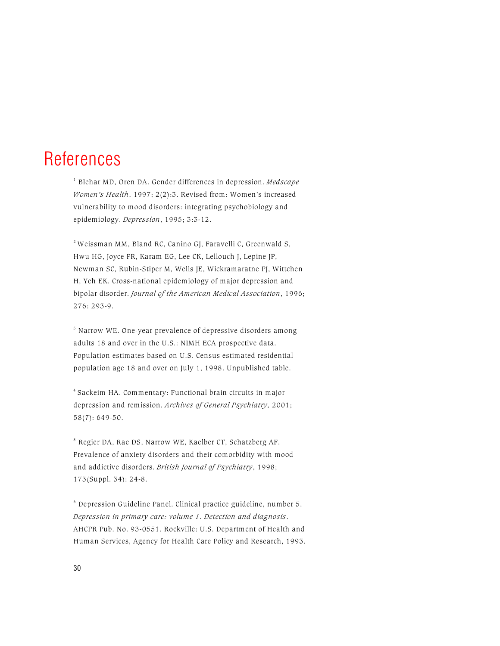## References

 Blehar MD, Oren DA. Gender differences in depression. *Medscape* 1 *Women's Health*, 1997; 2(2):3. Revised from: Women's increased vulnerability to mood disorders: integrating psychobiology and epidemiology. *Depression*, 1995; 3:3-12.

 $2$  Weissman MM, Bland RC, Canino GJ, Faravelli C, Greenwald S, Hwu HG, Joyce PR, Karam EG, Lee CK, Lellouch J, Lepine JP, Newman SC, Rubin-Stiper M, Wells JE, Wickramaratne PJ, Wittchen H, Yeh EK. Cross-national epidemiology of major depression and bipolar disorder. *Journal of the American Medical Association*, 1996; 276: 293-9.

 $3$  Narrow WE. One-year prevalence of depressive disorders among adults 18 and over in the U.S.: NIMH ECA prospective data. Population estimates based on U.S. Census estimated residential population age 18 and over on July 1, 1998. Unpublished table.

<sup>4</sup> Sackeim HA. Commentary: Functional brain circuits in major depression and remission. *Archives of General Psychiatry,* 2001; 58(7): 649-50.

 $5$  Regier DA, Rae DS, Narrow WE, Kaelber CT, Schatzberg AF. Prevalence of anxiety disorders and their comorbidity with mood and addictive disorders. *British Journal of Psychiatry*, 1998; 173(Suppl. 34): 24-8.

 $6$  Depression Guideline Panel. Clinical practice guideline, number 5. *Depression in primary care: volume 1. Detection and diagnosis*. AHCPR Pub. No. 93-0551. Rockville: U.S. Department of Health and Human Services, Agency for Health Care Policy and Research, 1993.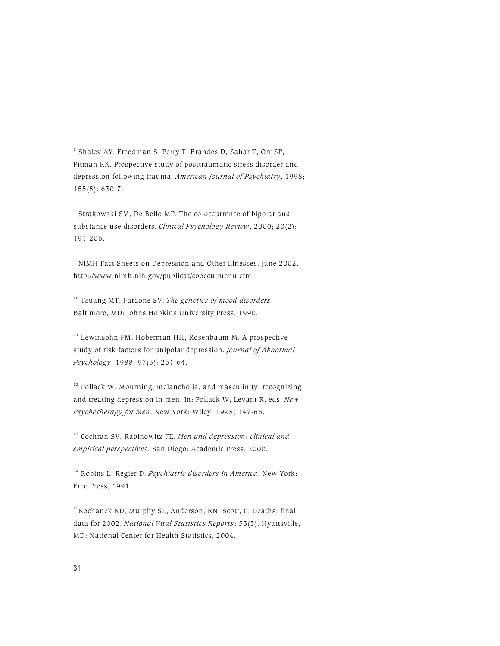$^7$  Shalev AY, Freedman S, Perry T, Brandes D, Sahar T, Orr SP, Pitman RK. Prospective study of posttraumatic stress disorder and depression following trauma. *American Journal of Psychiatry*, 1998; 155(5): 630-7.

<sup>8</sup> Strakowski SM, DelBello MP. The co-occurrence of bipolar and substance use disorders. *Clinical Psychology Review*, 2000; 20(2): 191-206.

<sup>9</sup> NIMH Fact Sheets on Depression and Other Illnesses. June 2002. http://www.nimh.nih.gov/publicat/cooccurmenu.cfm

<sup>10</sup> Tsuang MT, Faraone SV. *The genetics of mood disorders*. Baltimore, MD: Johns Hopkins University Press, 1990.

 $11$  Lewinsohn PM, Hoberman HH, Rosenbaum M. A prospective study of risk factors for unipolar depression. *Journal of Abnormal Psychology*, 1988; 97(3): 251-64.

 $12$  Pollack W. Mourning, melancholia, and masculinity: recognizing and treating depression in men. In: Pollack W, Levant R, eds. *New Psychotherapy for Men*. New York: Wiley, 1998; 147-66.

<sup>13</sup> Cochran SV, Rabinowitz FE. Men and depression: clinical and *empirical perspectives*. San Diego: Academic Press, 2000.

<sup>14</sup> Robins L, Regier D. *Psychiatric disorders in America*. New York: Free Press, 1991.

 $15$ Kochanek KD, Murphy SL, Anderson, RN, Scott, C. Deaths: final data for 2002. *National Vital Statistics Reports*; 53(5). Hyattsville, MD: National Center for Health Statistics, 2004.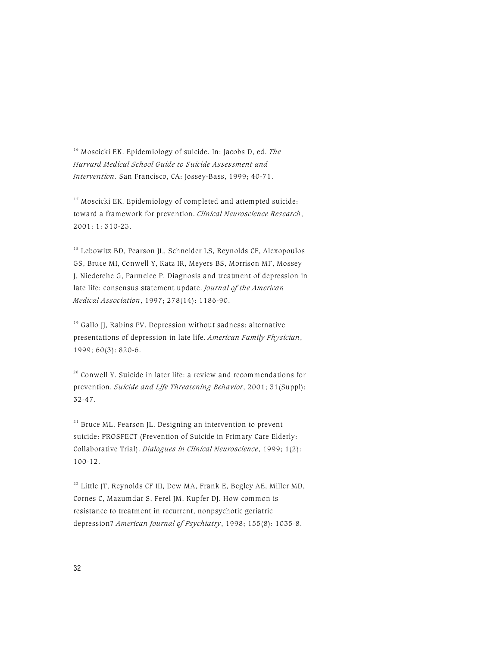<sup>16</sup> Moscicki EK. Epidemiology of suicide. In: Jacobs D, ed. The *Harvard Medical School Guide to Suicide Assessment and Intervention*. San Francisco, CA: Jossey-Bass, 1999; 40-71.

 $17$  Moscicki EK. Epidemiology of completed and attempted suicide: toward a framework for prevention. *Clinical Neuroscience Research*, 2001; 1: 310-23.

<sup>18</sup> Lebowitz BD, Pearson JL, Schneider LS, Reynolds CF, Alexopoulos GS, Bruce MI, Conwell Y, Katz IR, Meyers BS, Morrison MF, Mossey J, Niederehe G, Parmelee P. Diagnosis and treatment of depression in late life: consensus statement update. *Journal of the American Medical Association*, 1997; 278(14): 1186-90.

 $19$  Gallo JJ, Rabins PV. Depression without sadness: alternative presentations of depression in late life. *American Family Physician*, 1999; 60(3): 820-6.

 $20$  Conwell Y. Suicide in later life: a review and recommendations for prevention. *Suicide and Life Threatening Behavior*, 2001; 31(Suppl): 32-47.

 $21$  Bruce ML, Pearson JL. Designing an intervention to prevent suicide: PROSPECT (Prevention of Suicide in Primary Care Elderly: Collaborative Trial). *Dialogues in Clinical Neuroscience*, 1999; 1(2): 100-12.

 $22$  Little JT, Reynolds CF III, Dew MA, Frank E, Begley AE, Miller MD, Cornes C, Mazumdar S, Perel JM, Kupfer DJ. How common is resistance to treatment in recurrent, nonpsychotic geriatric depression? *American Journal of Psychiatry*, 1998; 155(8): 1035-8.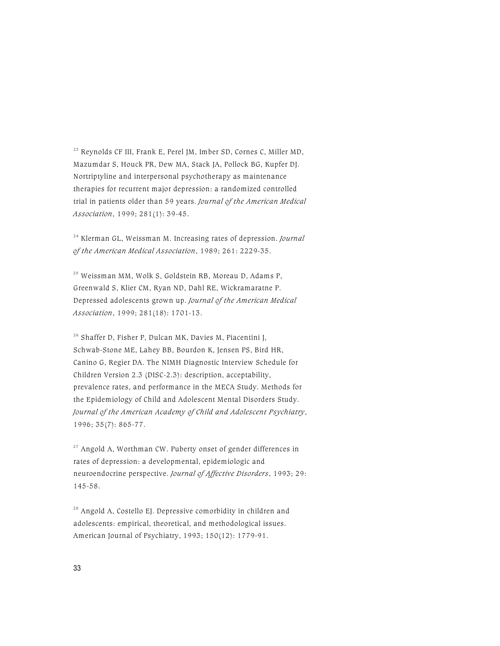$23$  Reynolds CF III, Frank E, Perel JM, Imber SD, Cornes C, Miller MD, Mazumdar S, Houck PR, Dew MA, Stack JA, Pollock BG, Kupfer DJ. Nortriptyline and interpersonal psychotherapy as maintenance therapies for recurrent major depression: a randomized controlled trial in patients older than 59 years. *Journal of the American Medical Association*, 1999; 281(1): 39-45.

<sup>24</sup> Klerman GL, Weissman M. Increasing rates of depression. *Journal of the American Medical Association*, 1989; 261: 2229-35.

 $25$  Weissman MM, Wolk S, Goldstein RB, Moreau D, Adams P, Greenwald S, Klier CM, Ryan ND, Dahl RE, Wickramaratne P. Depressed adolescents grown up. *Journal of the American Medical Association*, 1999; 281(18): 1701-13.

 $26$  Shaffer D, Fisher P, Dulcan MK, Davies M, Piacentini J, Schwab-Stone ME, Lahey BB, Bourdon K, Jensen PS, Bird HR, Canino G, Regier DA. The NIMH Diagnostic Interview Schedule for Children Version 2.3 (DISC-2.3): description, acceptability, prevalence rates, and performance in the MECA Study. Methods for the Epidemiology of Child and Adolescent Mental Disorders Study. *Journal of the American Academy of Child and Adolescent Psychiatry*, 1996; 35(7): 865-77.

 $27$  Angold A, Worthman CW. Puberty onset of gender differences in rates of depression: a developmental, epidemiologic and neuroendocrine perspective. *Journal of Affective Disorders*, 1993; 29: 145-58.

 $28$  Angold A, Costello EJ. Depressive comorbidity in children and adolescents: empirical, theoretical, and methodological issues. American Journal of Psychiatry, 1993; 150(12): 1779-91.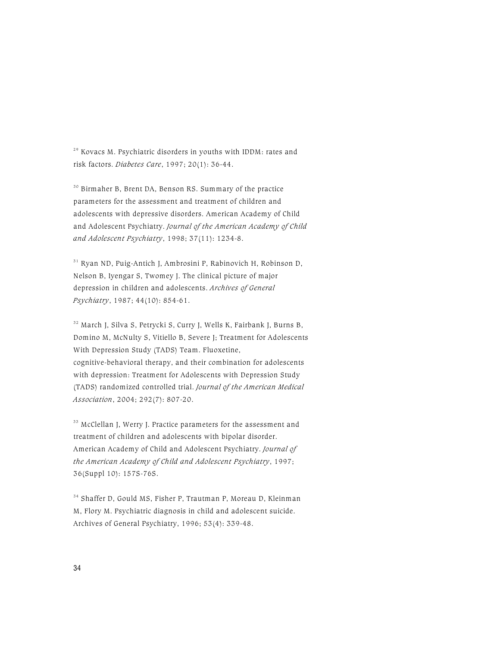$29$  Kovacs M. Psychiatric disorders in youths with IDDM: rates and risk factors. *Diabetes Care*, 1997; 20(1): 36-44.

 $30$  Birmaher B, Brent DA, Benson RS. Summary of the practice parameters for the assessment and treatment of children and adolescents with depressive disorders. American Academy of Child and Adolescent Psychiatry. *Journal of the American Academy of Child and Adolescent Psychiatry*, 1998; 37(11): 1234-8.

 $31$  Ryan ND, Puig-Antich J, Ambrosini P, Rabinovich H, Robinson D, Nelson B, Iyengar S, Twomey J. The clinical picture of major depression in children and adolescents. *Archives of General Psychiatry*, 1987; 44(10): 854-61.

<sup>32</sup> March J, Silva S, Petrycki S, Curry J, Wells K, Fairbank J, Burns B, Domino M, McNulty S, Vitiello B, Severe J; Treatment for Adolescents With Depression Study (TADS) Team. Fluoxetine, cognitive-behavioral therapy, and their combination for adolescents with depression: Treatment for Adolescents with Depression Study (TADS) randomized controlled trial. *Journal of the American Medical Association*, 2004; 292(7): 807-20.

 $33$  McClellan J, Werry J. Practice parameters for the assessment and treatment of children and adolescents with bipolar disorder. American Academy of Child and Adolescent Psychiatry. *Journal of the American Academy of Child and Adolescent Psychiatry*, 1997; 36(Suppl 10): 157S-76S.

<sup>34</sup> Shaffer D, Gould MS, Fisher P, Trautman P, Moreau D, Kleinman M, Flory M. Psychiatric diagnosis in child and adolescent suicide. Archives of General Psychiatry, 1996; 53(4): 339-48.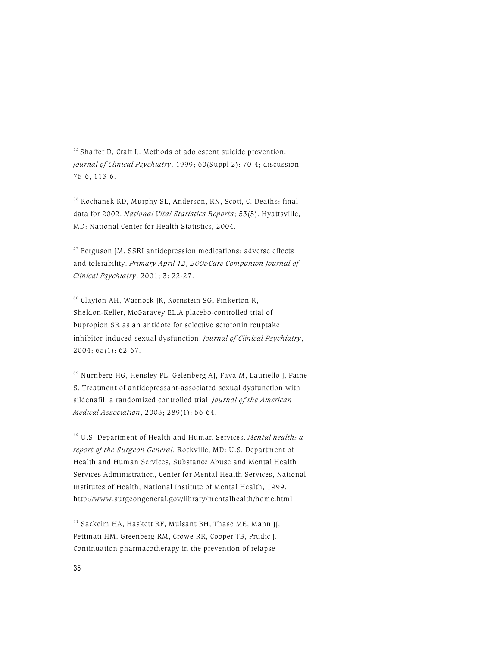$35$  Shaffer D, Craft L. Methods of adolescent suicide prevention. *Journal of Clinical Psychiatry*, 1999; 60(Suppl 2): 70-4; discussion 75-6, 113-6.

<sup>36</sup> Kochanek KD, Murphy SL, Anderson, RN, Scott, C. Deaths: final data for 2002. *National Vital Statistics Reports*; 53(5). Hyattsville, MD: National Center for Health Statistics, 2004.

 $37$  Ferguson JM. SSRI antidepression medications: adverse effects and tolerability. *Primary April 12, 2005Care Companion Journal of Clinical Psychiatry*. 2001; 3: 22-27.

<sup>38</sup> Clayton AH, Warnock JK, Kornstein SG, Pinkerton R, Sheldon-Keller, McGaravey EL.A placebo-controlled trial of bupropion SR as an antidote for selective serotonin reuptake inhibitor-induced sexual dysfunction. *Journal of Clinical Psychiatry*, 2004; 65(1): 62-67.

<sup>39</sup> Nurnberg HG, Hensley PL, Gelenberg AJ, Fava M, Lauriello J, Paine S. Treatment of antidepressant-associated sexual dysfunction with sildenafil: a randomized controlled trial. *Journal of the American Medical Association*, 2003; 289(1): 56-64.

<sup>40</sup> U.S. Department of Health and Human Services. *Mental health: a report of the Surgeon General*. Rockville, MD: U.S. Department of Health and Human Services, Substance Abuse and Mental Health Services Administration, Center for Mental Health Services, National Institutes of Health, National Institute of Mental Health, 1999. http://www.surgeongeneral.gov/library/mentalhealth/home.html

 $41$  Sackeim HA, Haskett RF, Mulsant BH, Thase ME, Mann JJ, Pettinati HM, Greenberg RM, Crowe RR, Cooper TB, Prudic J. Continuation pharmacotherapy in the prevention of relapse